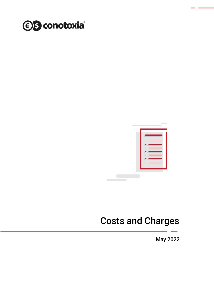



# Costs and Charges

May 2022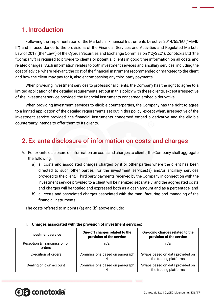## 1. Introduction

Following the implementation of the Markets in Financial Instruments Directive 2014/65/EU ("MiFID II") and in accordance to the provisions of the Financial Services and Activities and Regulated Markets Law of 2017 (the "Law") of the Cyprus Securities and Exchange Commission ("CySEC"), Conotoxia Ltd (the "Company") is required to provide to clients or potential clients in good time information on all costs and related charges. Such information relates to both investment services and ancillary services, including the cost of advice, where relevant, the cost of the financial instrument recommended or marketed to the client and how the client may pay for it, also encompassing any third-party payments.

When providing investment services to professional clients, the Company has the right to agree to a limited application of the detailed requirements set out in this policy with these clients, except irrespective of the investment service provided, the financial instruments concerned embed a derivative.

When providing investment services to eligible counterparties, the Company has the right to agree to a limited application of the detailed requirements set out in this policy, except when, irrespective of the investment service provided, the financial instruments concerned embed a derivative and the eligible counterparty intends to offer them to its clients.

### 2. Ex-ante disclosure of information on costs and charges

- A. For ex-ante disclosure of information on costs and charges to clients, the Company shall aggregate the following:
	- a) all costs and associated charges charged by it or other parties where the client has been directed to such other parties, for the investment services(s) and/or ancillary services provided to the client. Third party payments received by the Company in connection with the investment service provided to a client will be itemized separately, and the aggregated costs and charges will be totaled and expressed both as a cash amount and as a percentage; and
	- b) all costs and associated charges associated with the manufacturing and managing of the financial instruments.

The costs referred to in points (a) and (b) above include:

| <b>Investment service</b>             | One-off charges related to the<br>provision of the service | On-going charges related to the<br>provision of the service |  |
|---------------------------------------|------------------------------------------------------------|-------------------------------------------------------------|--|
| Reception & Transmission of<br>orders | n/a                                                        | n/a                                                         |  |
| <b>Execution of orders</b>            | Commissions based on paragraph                             | Swaps based on data provided on<br>the trading platforms    |  |
| Dealing on own account                | Commissions based on paragraph                             | Swaps based on data provided on<br>the trading platforms    |  |

#### **I. Charges associated with the provision of investment services:**

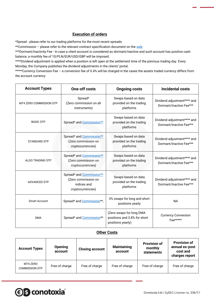#### **Execution of orders**

\*Spread - please refer to our trading platforms for the most recent spreads

\*\*Commission - please refer to the relevant contract specification document on th[e web](https://forex.conotoxia.com/why-us/legal-and-security/documents-and-announcements)

\*\*\*Dormant/Inactivity Fee - In case a client account is considered as dormant/inactive and such account has positive cash balance, a monthly fee of 10/PLN/EUR/USD/GBP will be imposed.

\*\*\*\*Dividend adjustment is applied when a position is left open at the settlement time of the previous trading day. Every Monday, the Company publishes the dividend adjustments in the clients' portal.

\*\*\*\*\*Currency Conversion Fee – a conversion fee of 0.4% will be charged in the cases the assets traded currency differs from the account currency

| <b>Account Types</b>                   | <b>One-off costs</b>                                                                                                                               | <b>Ongoing costs</b>                                                          | <b>Incidental costs</b>                                |  |
|----------------------------------------|----------------------------------------------------------------------------------------------------------------------------------------------------|-------------------------------------------------------------------------------|--------------------------------------------------------|--|
| MT4 ZERO COMMISSION STP                | Spread*<br>(Zero commission on all<br>instruments)                                                                                                 | Swaps based on data<br>provided on the trading<br>platforms                   | Dividend adjustment**** and<br>Dormant/Inactive Fee*** |  |
| <b>BASIC STP</b>                       | Spread* and Commission**                                                                                                                           | Swaps based on data<br>provided on the trading<br>platforms                   | Dividend adjustment**** and<br>Dormant/Inactive Fee*** |  |
| <b>STANDARD STP</b>                    | Spread* and Commission**<br>(Zero commission on<br>cryptocurrencies)                                                                               | Swaps based on data<br>provided on the trading<br>platforms                   | Dividend adjustment**** and<br>Dormant/Inactive Fee*** |  |
| <b>ALGO TRADING STP</b>                | Spread* and Commission**<br>(Zero commission on<br>cryptocurrencies)                                                                               | Swaps based on data<br>provided on the trading<br>platforms                   | Dividend adjustment**** and<br>Dormant/Inactive Fee*** |  |
| <b>ADVANCED STP</b>                    | Spread* and Commission**<br>Swaps based on data<br>(Zero commission on<br>provided on the trading<br>indices and<br>platforms<br>cryptocurrencies) |                                                                               | Dividend adjustment**** and<br>Dormant/Inactive Fee*** |  |
| <b>Smart Account</b>                   | Spread* and Commission**,                                                                                                                          | 3% swaps for long and short<br>positions yearly                               | <b>NA</b>                                              |  |
| Spread* and Commission**<br><b>DMA</b> |                                                                                                                                                    | (Zero swaps for long DMA<br>positions and 3.8% for short<br>positions yearly) | <b>Currency Conversion</b><br>Fee*****                 |  |

#### **Other Costs**

| <b>Account Types</b>              | <b>Opening</b><br>account | <b>Closing account</b> | <b>Maintaining</b><br>account | <b>Provision of</b><br>monthly<br>statements | <b>Provision of</b><br>annual ex-post<br>cost and<br>charges report |
|-----------------------------------|---------------------------|------------------------|-------------------------------|----------------------------------------------|---------------------------------------------------------------------|
| MT4 ZERO<br><b>COMMISSION STP</b> | Free of charge            | Free of charge         | Free of charge                | Free of charge                               | Free of charge                                                      |

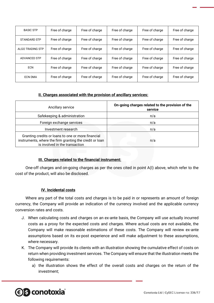| <b>BASIC STP</b>    | Free of charge | Free of charge | Free of charge | Free of charge | Free of charge |
|---------------------|----------------|----------------|----------------|----------------|----------------|
| <b>STANDARD STP</b> | Free of charge | Free of charge | Free of charge | Free of charge | Free of charge |
| ALGO TRADING STP    | Free of charge | Free of charge | Free of charge | Free of charge | Free of charge |
| <b>ADVANCED STP</b> | Free of charge | Free of charge | Free of charge | Free of charge | Free of charge |
| <b>ECN</b>          | Free of charge | Free of charge | Free of charge | Free of charge | Free of charge |
| ECN DMA             | Free of charge | Free of charge | Free of charge | Free of charge | Free of charge |

#### **II. Charges associated with the provision of ancillary services:**

| Ancillary service                                                                                                                               | On-going charges related to the provision of the<br>service |  |  |
|-------------------------------------------------------------------------------------------------------------------------------------------------|-------------------------------------------------------------|--|--|
| Safekeeping & administration                                                                                                                    | n/a                                                         |  |  |
| Foreign exchange services                                                                                                                       | n/a                                                         |  |  |
| Investment research                                                                                                                             | n/a                                                         |  |  |
| Granting credits or loans to one or more financial<br>instruments, where the firm granting the credit or loan<br>is involved in the transaction | n/a                                                         |  |  |

#### **III. Charges related to the financial instrument:**

One-off charges and on-going charges as per the ones cited in point A(I) above, which refer to the cost of the product, will also be disclosed.

#### **IV. Incidental costs**

Where any part of the total costs and charges is to be paid in or represents an amount of foreign currency, the Company will provide an indication of the currency involved and the applicable currency conversion rates and costs.

- J. When calculating costs and charges on an ex-ante basis, the Company will use actually incurred costs as a proxy for the expected costs and charges. Where actual costs are not available, the Company will make reasonable estimations of these costs. The Company will review ex-ante assumptions based on its ex-post experience and will make adjustment to these assumptions, where necessary.
- K. The Company will provide its clients with an illustration showing the cumulative effect of costs on return when providing investment services. The Company will ensure that the illustration meets the following requirements:
	- a) the illustration shows the effect of the overall costs and charges on the return of the investment;

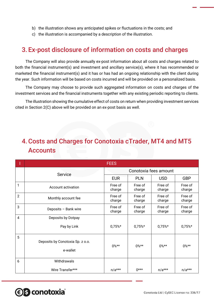- b) the illustration shows any anticipated spikes or fluctuations in the costs; and
- c) the illustration is accompanied by a description of the illustration.

### 3. Ex-post disclosure of information on costs and charges

The Company will also provide annually ex-post information about all costs and charges related to both the financial instrument(s) and investment and ancillary service(s), where it has recommended or marketed the financial instrument(s) and it has or has had an ongoing relationship with the client during the year. Such information will be based on costs incurred and will be provided on a personalized basis.

The Company may choose to provide such aggregated information on costs and charges of the investment services and the financial instruments together with any existing periodic reporting to clients.

The illustration showing the cumulative effect of costs on return when providing investment services cited in Section 2(C) above will be provided on an ex-post basis as well.

# 4.Costs and Charges for Conotoxia cTrader, MT4 and MT5 **Accounts**

|                | <b>FEES</b>                                  |                       |                   |                   |                   |  |
|----------------|----------------------------------------------|-----------------------|-------------------|-------------------|-------------------|--|
|                | Service                                      | Conotoxia fees amount |                   |                   |                   |  |
|                |                                              | <b>EUR</b>            | <b>PLN</b>        | <b>USD</b>        | <b>GBP</b>        |  |
| $\mathbf{1}$   | Account activation                           | Free of<br>charge     | Free of<br>charge | Free of<br>charge | Free of<br>charge |  |
| $\overline{2}$ | Monthly account fee                          | Free of<br>charge     | Free of<br>charge | Free of<br>charge | Free of<br>charge |  |
| 3              | Deposits - Bank wire                         | Free of<br>charge     | Free of<br>charge | Free of<br>charge | Free of<br>charge |  |
| $\overline{4}$ | Deposits by Dotpay                           |                       |                   |                   |                   |  |
|                | Pay by Link                                  | $0,75%$ *             | $0,75%$ *         | $0,75%$ *         | $0,75%$ *         |  |
| 5              | Deposits by Conotoxia Sp. z o.o.<br>e-wallet | $0\%**$               | $0\%**$           | $0\%**$           | $0\%**$           |  |
| 6              | Withdrawals                                  |                       |                   |                   |                   |  |
|                | Wire Transfer***                             | $n/a***$              | $0***$            | $n/a***$          | $n/a***$          |  |